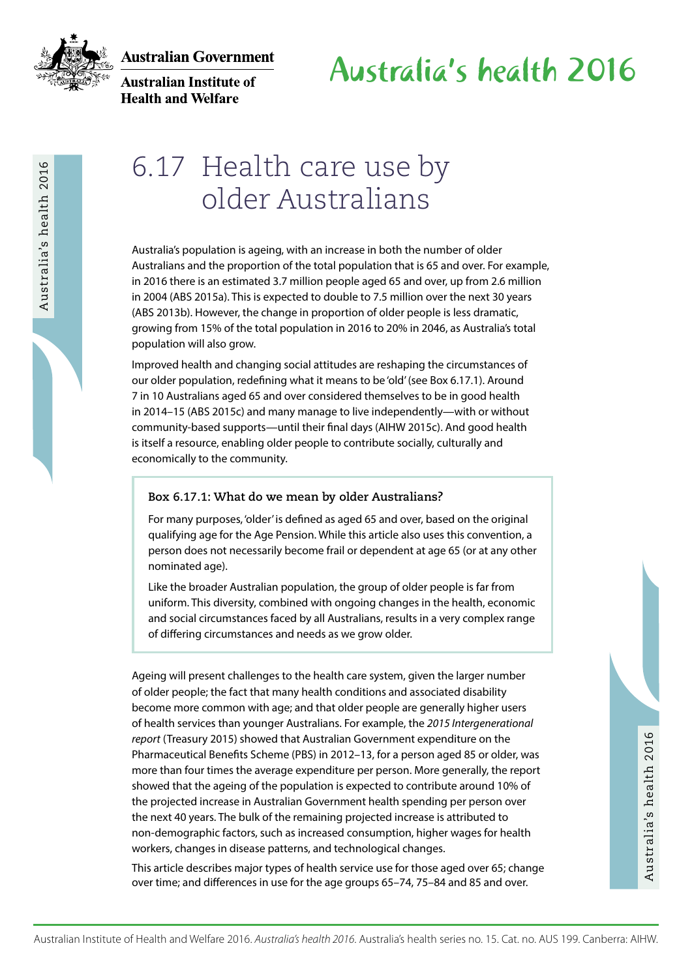

**Australian Institute of Health and Welfare** 

## 6.17 Health care use by older Australians

Australia's population is ageing, with an increase in both the number of older Australians and the proportion of the total population that is 65 and over. For example, in 2016 there is an estimated 3.7 million people aged 65 and over, up from 2.6 million in 2004 (ABS 2015a). This is expected to double to 7.5 million over the next 30 years (ABS 2013b). However, the change in proportion of older people is less dramatic, growing from 15% of the total population in 2016 to 20% in 2046, as Australia's total population will also grow.

Improved health and changing social attitudes are reshaping the circumstances of our older population, redefining what it means to be 'old' (see Box 6.17.1). Around 7 in 10 Australians aged 65 and over considered themselves to be in good health in 2014–15 (ABS 2015c) and many manage to live independently—with or without community-based supports—until their final days (AIHW 2015c). And good health is itself a resource, enabling older people to contribute socially, culturally and economically to the community.

#### **Box 6.17.1: What do we mean by older Australians?**

For many purposes, 'older' is defined as aged 65 and over, based on the original qualifying age for the Age Pension. While this article also uses this convention, a person does not necessarily become frail or dependent at age 65 (or at any other nominated age).

Like the broader Australian population, the group of older people is far from uniform. This diversity, combined with ongoing changes in the health, economic and social circumstances faced by all Australians, results in a very complex range of differing circumstances and needs as we grow older.

 $\Sigma = \frac{1}{2}$ <br>
Australia-proposition is equivalent in instead in the Mel the wavelent and Welfare 2016<br>
Australia-proposition Australia equivalent in the Mel the Mel the Welfare 2016<br>
in 2016 Mel series an exhibition 2016 Ageing will present challenges to the health care system, given the larger number of older people; the fact that many health conditions and associated disability become more common with age; and that older people are generally higher users of health services than younger Australians. For example, the *2015 Intergenerational report* (Treasury 2015) showed that Australian Government expenditure on the Pharmaceutical Benefits Scheme (PBS) in 2012–13, for a person aged 85 or older, was more than four times the average expenditure per person. More generally, the report showed that the ageing of the population is expected to contribute around 10% of the projected increase in Australian Government health spending per person over the next 40 years. The bulk of the remaining projected increase is attributed to non-demographic factors, such as increased consumption, higher wages for health workers, changes in disease patterns, and technological changes.

This article describes major types of health service use for those aged over 65; change over time; and differences in use for the age groups 65–74, 75–84 and 85 and over.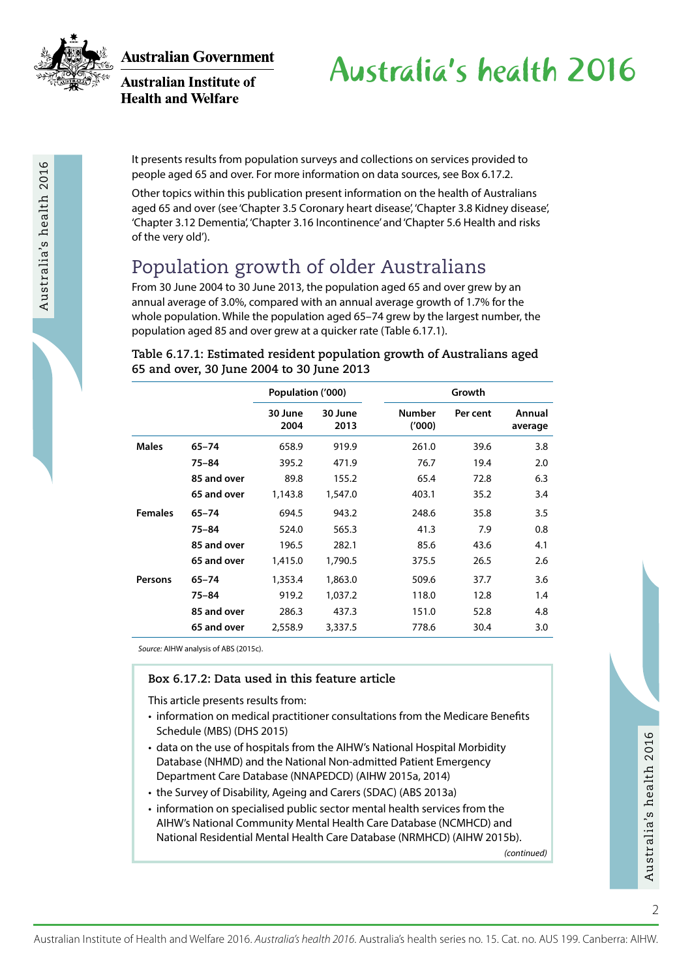

Australia's health 2016

**Australian Government** 

**Australian Institute of Health and Welfare** 

Australia's health 2016

It presents results from population surveys and collections on services provided to people aged 65 and over. For more information on data sources, see Box 6.17.2.

Other topics within this publication present information on the health of Australians aged 65 and over (see 'Chapter 3.5 Coronary heart disease', 'Chapter 3.8 Kidney disease', 'Chapter 3.12 Dementia', 'Chapter 3.16 Incontinence' and 'Chapter 5.6 Health and risks of the very old').

## Population growth of older Australians

From 30 June 2004 to 30 June 2013, the population aged 65 and over grew by an annual average of 3.0%, compared with an annual average growth of 1.7% for the whole population. While the population aged 65–74 grew by the largest number, the population aged 85 and over grew at a quicker rate (Table 6.17.1).

#### **Table 6.17.1: Estimated resident population growth of Australians aged 65 and over, 30 June 2004 to 30 June 2013**

|                |             | Population ('000) |                 |                        | Growth   |                   |  |
|----------------|-------------|-------------------|-----------------|------------------------|----------|-------------------|--|
|                |             | 30 June<br>2004   | 30 June<br>2013 | <b>Number</b><br>(000) | Per cent | Annual<br>average |  |
| <b>Males</b>   | $65 - 74$   | 658.9             | 919.9           | 261.0                  | 39.6     | 3.8               |  |
|                | 75-84       | 395.2             | 471.9           | 76.7                   | 19.4     | 2.0               |  |
|                | 85 and over | 89.8              | 155.2           | 65.4                   | 72.8     | 6.3               |  |
|                | 65 and over | 1,143.8           | 1,547.0         | 403.1                  | 35.2     | 3.4               |  |
| <b>Females</b> | $65 - 74$   | 694.5             | 943.2           | 248.6                  | 35.8     | 3.5               |  |
|                | 75-84       | 524.0             | 565.3           | 41.3                   | 7.9      | 0.8               |  |
|                | 85 and over | 196.5             | 282.1           | 85.6                   | 43.6     | 4.1               |  |
|                | 65 and over | 1,415.0           | 1,790.5         | 375.5                  | 26.5     | 2.6               |  |
| <b>Persons</b> | $65 - 74$   | 1,353.4           | 1,863.0         | 509.6                  | 37.7     | 3.6               |  |
|                | $75 - 84$   | 919.2             | 1.037.2         | 118.0                  | 12.8     | 1.4               |  |
|                | 85 and over | 286.3             | 437.3           | 151.0                  | 52.8     | 4.8               |  |
|                | 65 and over | 2,558.9           | 3,337.5         | 778.6                  | 30.4     | 3.0               |  |

*Source:* AIHW analysis of ABS (2015c).

#### **Box 6.17.2: Data used in this feature article**

This article presents results from:

- information on medical practitioner consultations from the Medicare Benefits Schedule (MBS) (DHS 2015)
- data on the use of hospitals from the AIHW's National Hospital Morbidity Database (NHMD) and the National Non-admitted Patient Emergency Department Care Database (NNAPEDCD) (AIHW 2015a, 2014)
- the Survey of Disability, Ageing and Carers (SDAC) (ABS 2013a)
- Australian Institute of Health and Welfare 2016. *Australia's health 2016*. Australia's health series no. 15. Cat. no. AUS 199. Canberra: Al-HW Australian Institute of Health and Welfare 2016. *Australia's health* 2016. Au • information on specialised public sector mental health services from the AIHW's National Community Mental Health Care Database (NCMHCD) and National Residential Mental Health Care Database (NRMHCD) (AIHW 2015b).

*(continued)*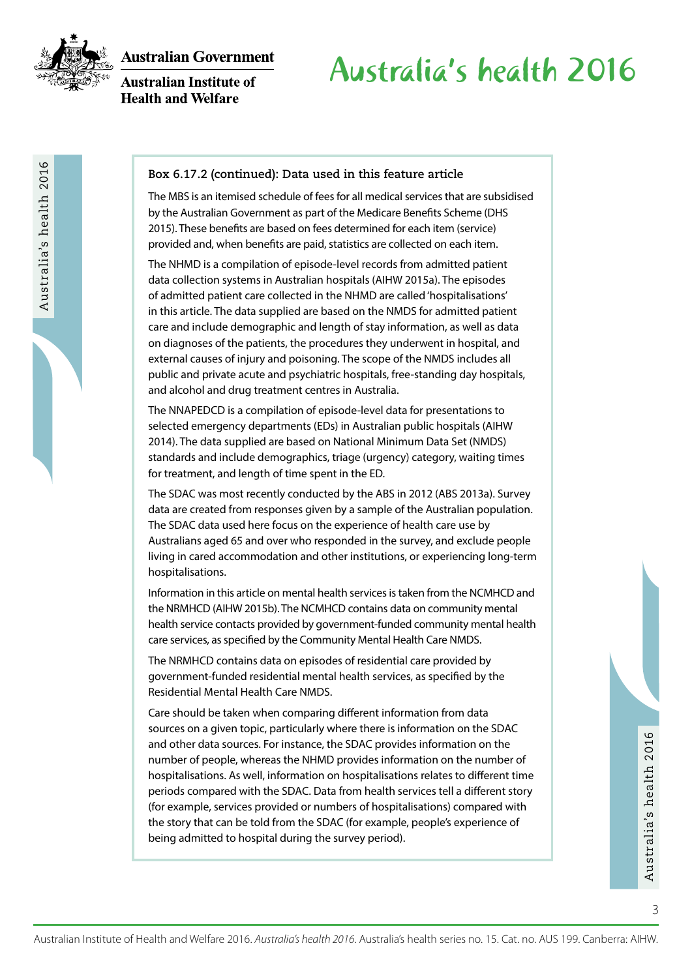

Australia's health 2016

**Australian Government** 

**Australian Institute of Health and Welfare** 

# Australia's health 2016

#### **Box 6.17.2 (continued): Data used in this feature article**

The MBS is an itemised schedule of fees for all medical services that are subsidised by the Australian Government as part of the Medicare Benefits Scheme (DHS 2015). These benefits are based on fees determined for each item (service) provided and, when benefits are paid, statistics are collected on each item.

The NHMD is a compilation of episode-level records from admitted patient data collection systems in Australian hospitals (AIHW 2015a). The episodes of admitted patient care collected in the NHMD are called 'hospitalisations' in this article. The data supplied are based on the NMDS for admitted patient care and include demographic and length of stay information, as well as data on diagnoses of the patients, the procedures they underwent in hospital, and external causes of injury and poisoning. The scope of the NMDS includes all public and private acute and psychiatric hospitals, free-standing day hospitals, and alcohol and drug treatment centres in Australia.

The NNAPEDCD is a compilation of episode-level data for presentations to selected emergency departments (EDs) in Australian public hospitals (AIHW 2014). The data supplied are based on National Minimum Data Set (NMDS) standards and include demographics, triage (urgency) category, waiting times for treatment, and length of time spent in the ED.

The SDAC was most recently conducted by the ABS in 2012 (ABS 2013a). Survey data are created from responses given by a sample of the Australian population. The SDAC data used here focus on the experience of health care use by Australians aged 65 and over who responded in the survey, and exclude people living in cared accommodation and other institutions, or experiencing long-term hospitalisations.

Information in this article on mental health services is taken from the NCMHCD and the NRMHCD (AIHW 2015b). The NCMHCD contains data on community mental health service contacts provided by government-funded community mental health care services, as specified by the Community Mental Health Care NMDS.

The NRMHCD contains data on episodes of residential care provided by government-funded residential mental health services, as specified by the Residential Mental Health Care NMDS.

and other data sources. For instance, the SDAC provides information on the number of<br>
number of people, whereas the NHMD provides information on the number of<br>
hospitalisations. As well, information on hospitalisations rel Care should be taken when comparing different information from data sources on a given topic, particularly where there is information on the SDAC and other data sources. For instance, the SDAC provides information on the number of people, whereas the NHMD provides information on the number of hospitalisations. As well, information on hospitalisations relates to different time periods compared with the SDAC. Data from health services tell a different story (for example, services provided or numbers of hospitalisations) compared with the story that can be told from the SDAC (for example, people's experience of being admitted to hospital during the survey period).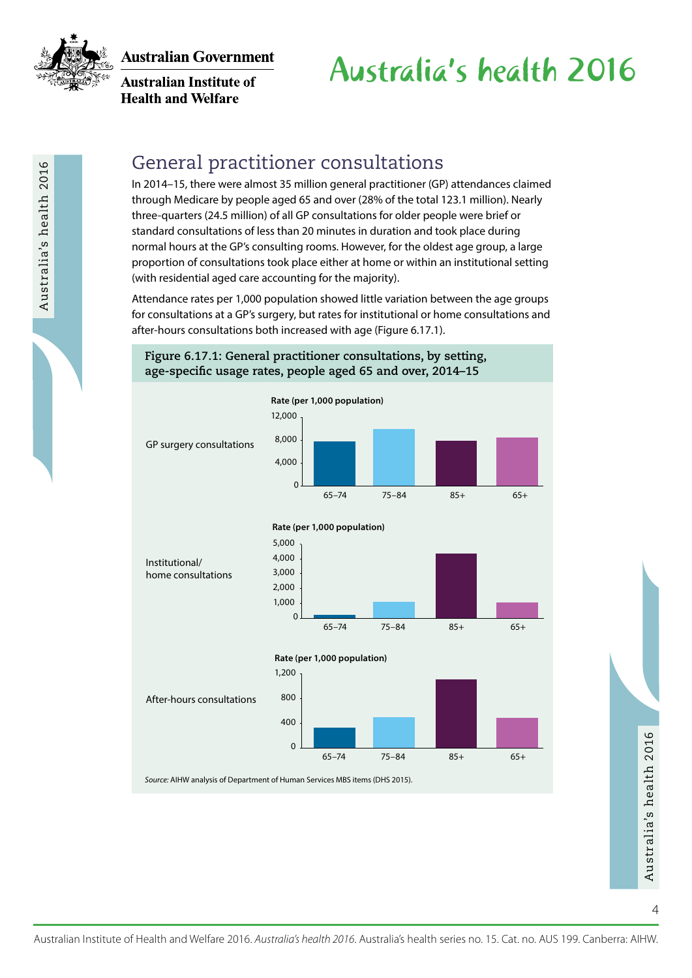

**Australian Institute of Health and Welfare** 

# Australia's health 2016

### General practitioner consultations

In 2014–15, there were almost 35 million general practitioner (GP) attendances claimed through Medicare by people aged 65 and over (28% of the total 123.1 million). Nearly three-quarters (24.5 million) of all GP consultations for older people were brief or standard consultations of less than 20 minutes in duration and took place during normal hours at the GP's consulting rooms. However, for the oldest age group, a large proportion of consultations took place either at home or within an institutional setting (with residential aged care accounting for the majority).

Attendance rates per 1,000 population showed little variation between the age groups for consultations at a GP's surgery, but rates for institutional or home consultations and after-hours consultations both increased with age (Figure 6.17.1).

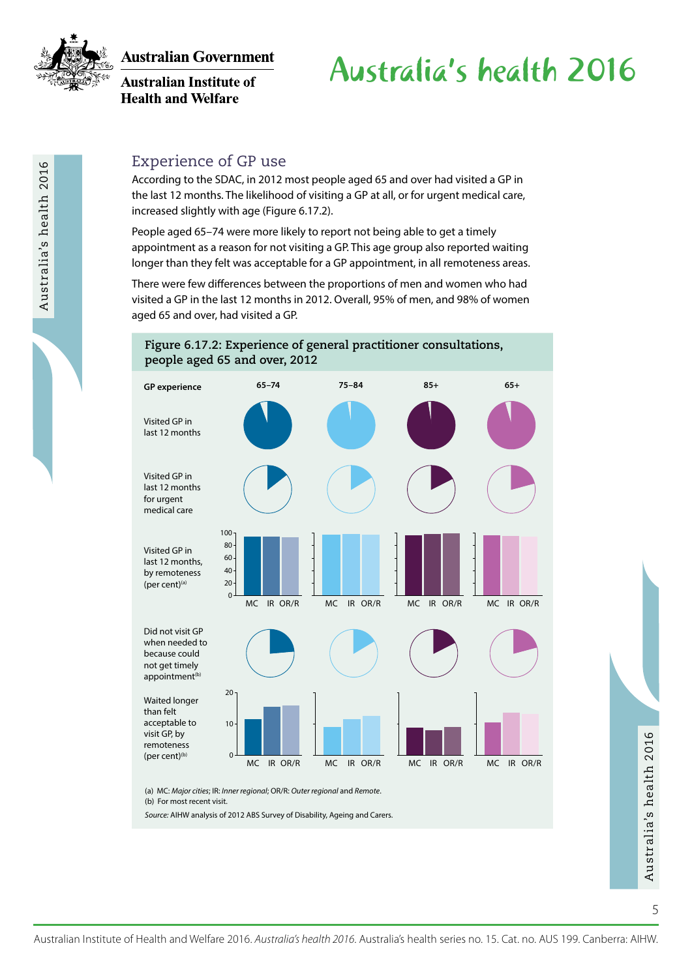

**Australian Institute of Health and Welfare** 

# Australia's health 2016

### Experience of GP use

According to the SDAC, in 2012 most people aged 65 and over had visited a GP in the last 12 months. The likelihood of visiting a GP at all, or for urgent medical care, increased slightly with age (Figure 6.17.2).

People aged 65–74 were more likely to report not being able to get a timely appointment as a reason for not visiting a GP. This age group also reported waiting longer than they felt was acceptable for a GP appointment, in all remoteness areas.

There were few differences between the proportions of men and women who had visited a GP in the last 12 months in 2012. Overall, 95% of men, and 98% of women aged 65 and over, had visited a GP.



*Source:* AIHW analysis of 2012 ABS Survey of Disability, Ageing and Carers.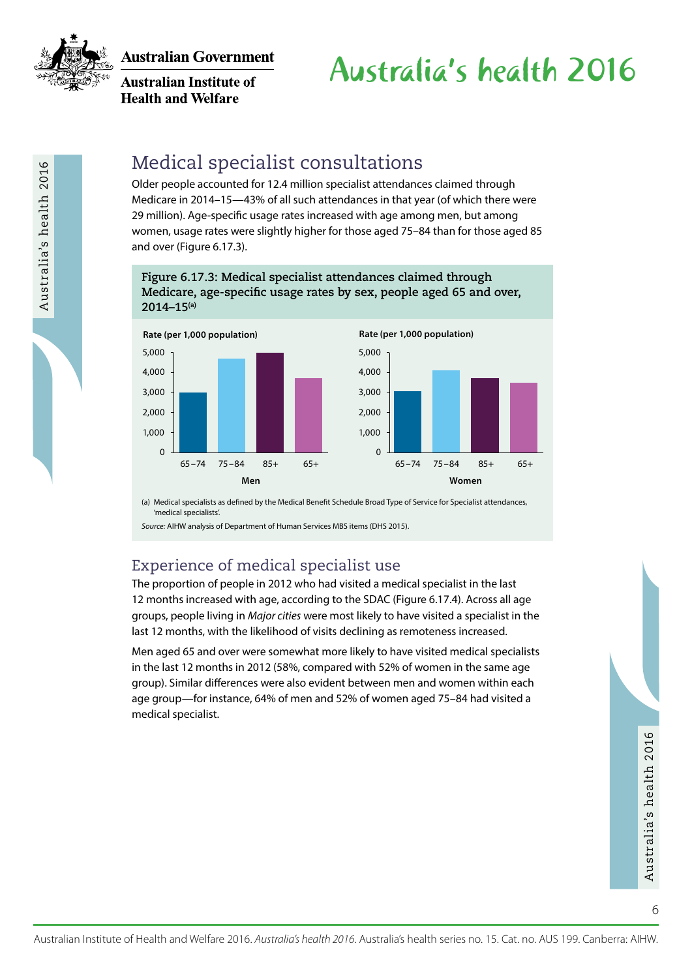

Australia's health 2016

**Australian Government** 

**Australian Institute of Health and Welfare** 

# Australia's health 2016

### Medical specialist consultations

Older people accounted for 12.4 million specialist attendances claimed through Medicare in 2014–15—43% of all such attendances in that year (of which there were 29 million). Age-specific usage rates increased with age among men, but among women, usage rates were slightly higher for those aged 75–84 than for those aged 85 and over (Figure 6.17.3).

#### **Figure 6.17.3: Medical specialist attendances claimed through Medicare, age-specific usage rates by sex, people aged 65 and over, 2014–15(a)**



(a) Medical specialists as defined by the Medical Benefit Schedule Broad Type of Service for Specialist attendances, 'medical specialists'.

*Source:* AIHW analysis of Department of Human Services MBS items (DHS 2015).

### Experience of medical specialist use

The proportion of people in 2012 who had visited a medical specialist in the last 12 months increased with age, according to the SDAC (Figure 6.17.4). Across all age groups, people living in *Major cities* were most likely to have visited a specialist in the last 12 months, with the likelihood of visits declining as remoteness increased.

Men aged 65 and over were somewhat more likely to have visited medical specialists in the last 12 months in 2012 (58%, compared with 52% of women in the same age group). Similar differences were also evident between men and women within each age group—for instance, 64% of men and 52% of women aged 75–84 had visited a medical specialist.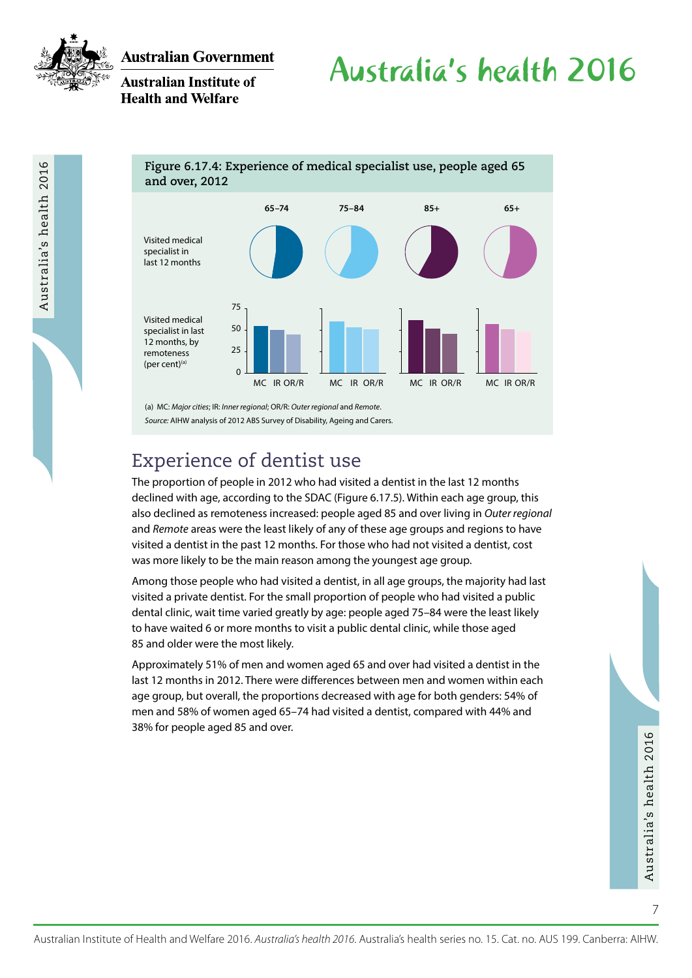

Australia's health 2016

**Australian Government** 

**Australian Institute of Health and Welfare** 

# Australia's health 2016

**Figure 6.17.4: Experience of medical specialist use, people aged 65 and over, 2012**



*Source:* AIHW analysis of 2012 ABS Survey of Disability, Ageing and Carers.

## Experience of dentist use

The proportion of people in 2012 who had visited a dentist in the last 12 months declined with age, according to the SDAC (Figure 6.17.5). Within each age group, this also declined as remoteness increased: people aged 85 and over living in *Outer regional* and *Remote* areas were the least likely of any of these age groups and regions to have visited a dentist in the past 12 months. For those who had not visited a dentist, cost was more likely to be the main reason among the youngest age group.

Among those people who had visited a dentist, in all age groups, the majority had last visited a private dentist. For the small proportion of people who had visited a public dental clinic, wait time varied greatly by age: people aged 75–84 were the least likely to have waited 6 or more months to visit a public dental clinic, while those aged 85 and older were the most likely.

Approximately 51% of men and women aged 65 and over had visited a dentist in the last 12 months in 2012. There were differences between men and women within each age group, but overall, the proportions decreased with age for both genders: 54% of men and 58% of women aged 65–74 had visited a dentist, compared with 44% and 38% for people aged 85 and over.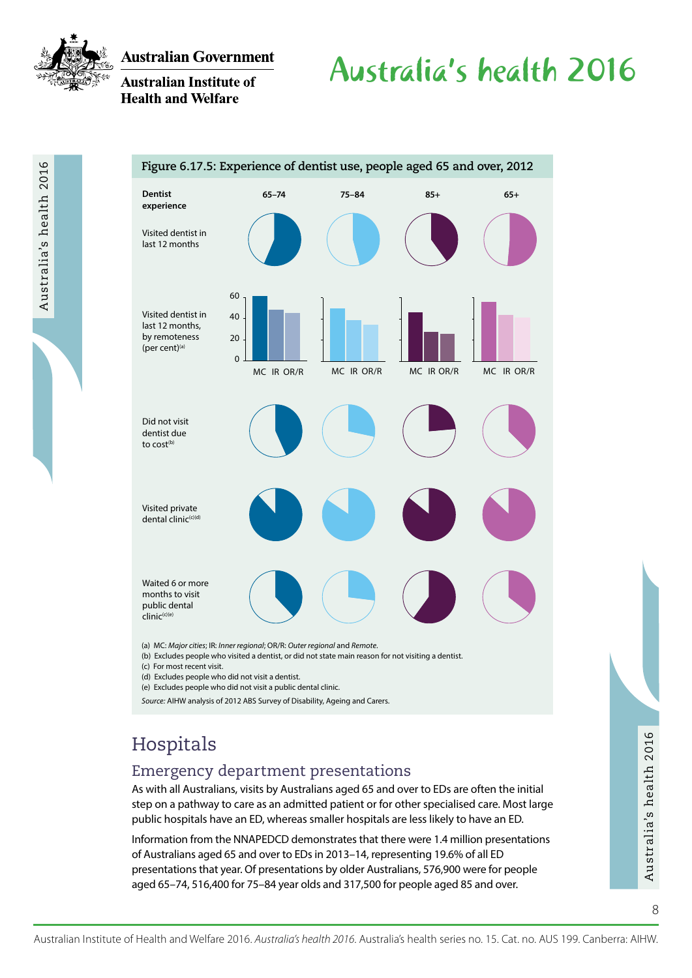

Australia's health 2016

**Australian Government** 

### **Australian Institute of Health and Welfare**

# Australia's health 2016



(b) Excludes people who visited a dentist, or did not state main reason for not visiting a dentist.

(c) For most recent visit.

(d) Excludes people who did not visit a dentist.

(e) Excludes people who did not visit a public dental clinic.

*Source:* AIHW analysis of 2012 ABS Survey of Disability, Ageing and Carers.

## Hospitals

### Emergency department presentations

As with all Australians, visits by Australians aged 65 and over to EDs are often the initial step on a pathway to care as an admitted patient or for other specialised care. Most large public hospitals have an ED, whereas smaller hospitals are less likely to have an ED.

HOS PIIT Calls<br>
As with all Australians, visits by Australians aged 65 and over to EDs are often the initial<br>
step on a pathway to care as an admitted patient or for other specialised care. Most large<br>
public hospitals hav Information from the NNAPEDCD demonstrates that there were 1.4 million presentations of Australians aged 65 and over to EDs in 2013–14, representing 19.6% of all ED presentations that year. Of presentations by older Australians, 576,900 were for people aged 65–74, 516,400 for 75–84 year olds and 317,500 for people aged 85 and over.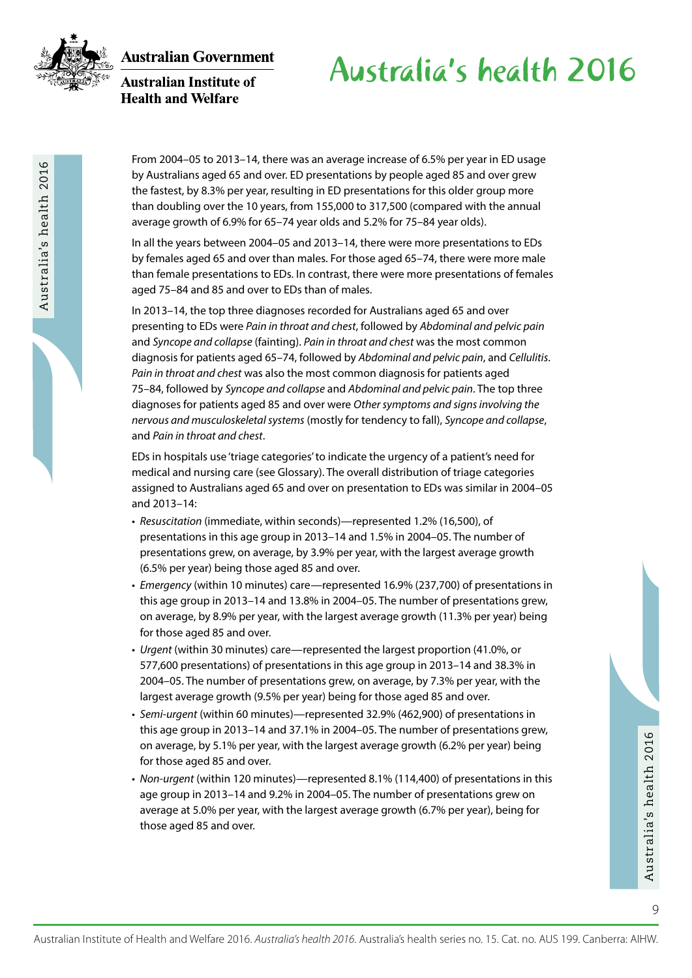

Australia's health 2016

**Australian Government** 

**Australian Institute of Health and Welfare** 

# Australia's health 2016

From 2004–05 to 2013–14, there was an average increase of 6.5% per year in ED usage by Australians aged 65 and over. ED presentations by people aged 85 and over grew the fastest, by 8.3% per year, resulting in ED presentations for this older group more than doubling over the 10 years, from 155,000 to 317,500 (compared with the annual average growth of 6.9% for 65–74 year olds and 5.2% for 75–84 year olds).

In all the years between 2004–05 and 2013–14, there were more presentations to EDs by females aged 65 and over than males. For those aged 65–74, there were more male than female presentations to EDs. In contrast, there were more presentations of females aged 75–84 and 85 and over to EDs than of males.

In 2013–14, the top three diagnoses recorded for Australians aged 65 and over presenting to EDs were *Pain in throat and chest*, followed by *Abdominal and pelvic pain* and *Syncope and collapse* (fainting). *Pain in throat and chest* was the most common diagnosis for patients aged 65–74, followed by *Abdominal and pelvic pain*, and *Cellulitis*. *Pain in throat and chest* was also the most common diagnosis for patients aged 75–84, followed by *Syncope and collapse* and *Abdominal and pelvic pain*. The top three diagnoses for patients aged 85 and over were *Other symptoms and signs involving the nervous and musculoskeletal systems* (mostly for tendency to fall), *Syncope and collapse*, and *Pain in throat and chest*.

EDs in hospitals use 'triage categories' to indicate the urgency of a patient's need for medical and nursing care (see Glossary). The overall distribution of triage categories assigned to Australians aged 65 and over on presentation to EDs was similar in 2004–05 and 2013–14:

- *Resuscitation* (immediate, within seconds)—represented 1.2% (16,500), of presentations in this age group in 2013–14 and 1.5% in 2004–05. The number of presentations grew, on average, by 3.9% per year, with the largest average growth (6.5% per year) being those aged 85 and over.
- *Emergency* (within 10 minutes) care—represented 16.9% (237,700) of presentations in this age group in 2013–14 and 13.8% in 2004–05. The number of presentations grew, on average, by 8.9% per year, with the largest average growth (11.3% per year) being for those aged 85 and over.
- *Urgent* (within 30 minutes) care—represented the largest proportion (41.0%, or 577,600 presentations) of presentations in this age group in 2013–14 and 38.3% in 2004–05. The number of presentations grew, on average, by 7.3% per year, with the largest average growth (9.5% per year) being for those aged 85 and over.
- *Semi-urgent* (within 60 minutes)—represented 32.9% (462,900) of presentations in this age group in 2013–14 and 37.1% in 2004–05. The number of presentations grew, on average, by 5.1% per year, with the largest average growth (6.2% per year) being for those aged 85 and over.
- Australian Institute of Health and Welfare 2016. *Australia's health 2016*. Australia's health series no. 15. Cat. no. AUS 199. Canberra: AHHW.<br>
Australian Institute of Health and Welfare 2016. *Australia's health 2016*. A • *Non-urgent* (within 120 minutes)—represented 8.1% (114,400) of presentations in this age group in 2013–14 and 9.2% in 2004–05. The number of presentations grew on average at 5.0% per year, with the largest average growth (6.7% per year), being for those aged 85 and over.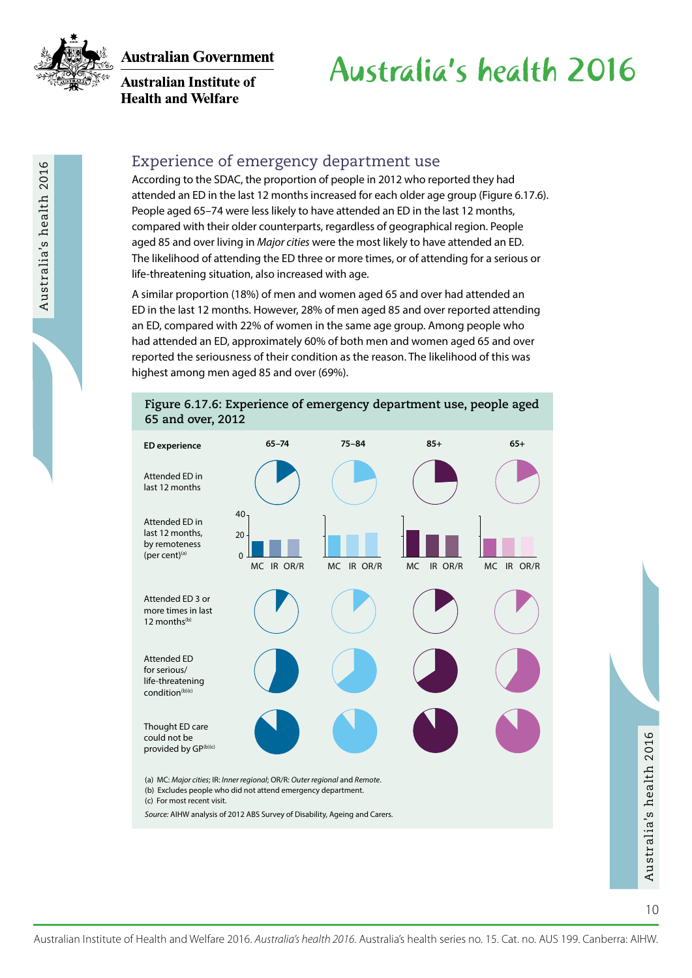

**Australian Institute of Health and Welfare** 

# Australia's health 2016

### Experience of emergency department use

According to the SDAC, the proportion of people in 2012 who reported they had attended an ED in the last 12 months increased for each older age group (Figure 6.17.6). People aged 65–74 were less likely to have attended an ED in the last 12 months, compared with their older counterparts, regardless of geographical region. People aged 85 and over living in *Major cities* were the most likely to have attended an ED. The likelihood of attending the ED three or more times, or of attending for a serious or life-threatening situation, also increased with age.

A similar proportion (18%) of men and women aged 65 and over had attended an ED in the last 12 months. However, 28% of men aged 85 and over reported attending an ED, compared with 22% of women in the same age group. Among people who had attended an ED, approximately 60% of both men and women aged 65 and over reported the seriousness of their condition as the reason. The likelihood of this was highest among men aged 85 and over (69%).



#### **Figure 6.17.6: Experience of emergency department use, people aged 65 and over, 2012**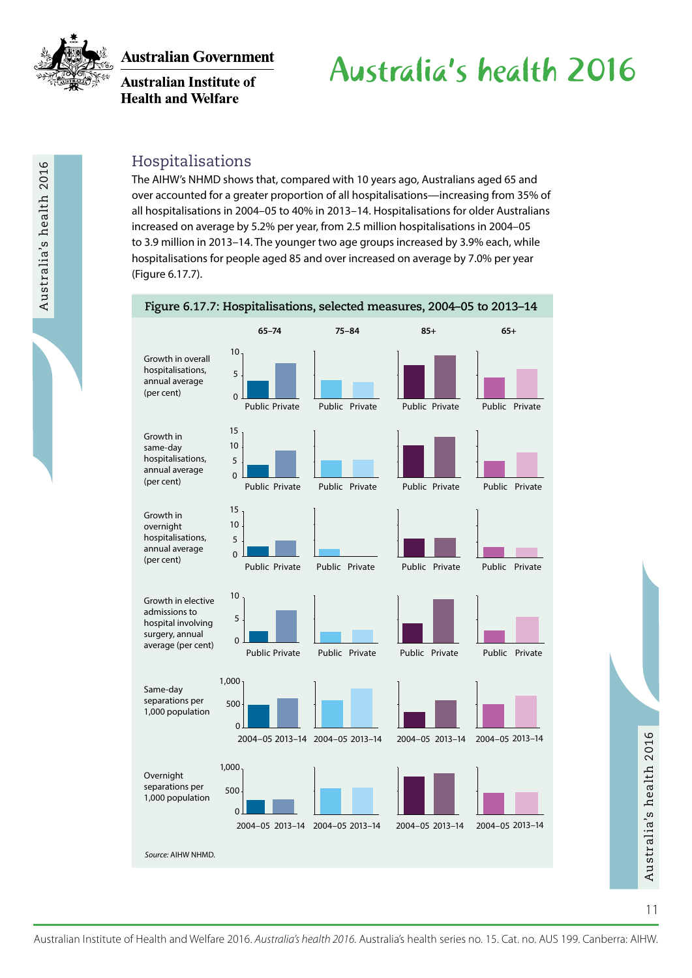

Australia's health 2016

**Australian Government** 

**Australian Institute of Health and Welfare** 

# Australia's health 2016

### Hospitalisations

The AIHW's NHMD shows that, compared with 10 years ago, Australians aged 65 and over accounted for a greater proportion of all hospitalisations—increasing from 35% of all hospitalisations in 2004–05 to 40% in 2013–14. Hospitalisations for older Australians increased on average by 5.2% per year, from 2.5 million hospitalisations in 2004–05 to 3.9 million in 2013–14. The younger two age groups increased by 3.9% each, while hospitalisations for people aged 85 and over increased on average by 7.0% per year (Figure 6.17.7).

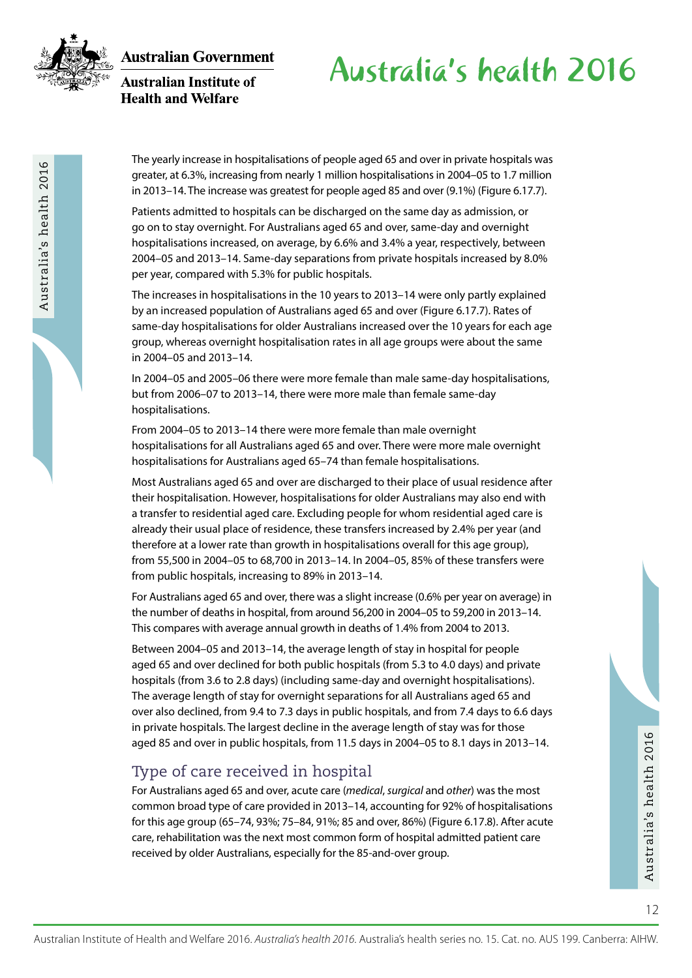

Australia's health 2016

**Australian Government Australian Institute of** 

**Health and Welfare** 

# Australia's health 2016

The yearly increase in hospitalisations of people aged 65 and over in private hospitals was greater, at 6.3%, increasing from nearly 1 million hospitalisations in 2004–05 to 1.7 million in 2013–14. The increase was greatest for people aged 85 and over (9.1%) (Figure 6.17.7).

Patients admitted to hospitals can be discharged on the same day as admission, or go on to stay overnight. For Australians aged 65 and over, same-day and overnight hospitalisations increased, on average, by 6.6% and 3.4% a year, respectively, between 2004–05 and 2013–14. Same-day separations from private hospitals increased by 8.0% per year, compared with 5.3% for public hospitals.

The increases in hospitalisations in the 10 years to 2013–14 were only partly explained by an increased population of Australians aged 65 and over (Figure 6.17.7). Rates of same-day hospitalisations for older Australians increased over the 10 years for each age group, whereas overnight hospitalisation rates in all age groups were about the same in 2004–05 and 2013–14.

In 2004–05 and 2005–06 there were more female than male same-day hospitalisations, but from 2006–07 to 2013–14, there were more male than female same-day hospitalisations.

From 2004–05 to 2013–14 there were more female than male overnight hospitalisations for all Australians aged 65 and over. There were more male overnight hospitalisations for Australians aged 65–74 than female hospitalisations.

Most Australians aged 65 and over are discharged to their place of usual residence after their hospitalisation. However, hospitalisations for older Australians may also end with a transfer to residential aged care. Excluding people for whom residential aged care is already their usual place of residence, these transfers increased by 2.4% per year (and therefore at a lower rate than growth in hospitalisations overall for this age group), from 55,500 in 2004–05 to 68,700 in 2013–14. In 2004–05, 85% of these transfers were from public hospitals, increasing to 89% in 2013–14.

For Australians aged 65 and over, there was a slight increase (0.6% per year on average) in the number of deaths in hospital, from around 56,200 in 2004–05 to 59,200 in 2013–14. This compares with average annual growth in deaths of 1.4% from 2004 to 2013.

Between 2004–05 and 2013–14, the average length of stay in hospital for people aged 65 and over declined for both public hospitals (from 5.3 to 4.0 days) and private hospitals (from 3.6 to 2.8 days) (including same-day and overnight hospitalisations). The average length of stay for overnight separations for all Australians aged 65 and over also declined, from 9.4 to 7.3 days in public hospitals, and from 7.4 days to 6.6 days in private hospitals. The largest decline in the average length of stay was for those aged 85 and over in public hospitals, from 11.5 days in 2004–05 to 8.1 days in 2013–14.

### Type of care received in hospital

aged 85 and over in public hospitals, from 11.5 days in 2004–05 to 8.1 days in 2013–14.<br>
Type of care received in hospital<br>
For Australians aged 65 and over, acute care (medical, surgical and other) was the most<br>
common br For Australians aged 65 and over, acute care (*medical*, *surgical* and *other*) was the most common broad type of care provided in 2013–14, accounting for 92% of hospitalisations for this age group (65–74, 93%; 75–84, 91%; 85 and over, 86%) (Figure 6.17.8). After acute care, rehabilitation was the next most common form of hospital admitted patient care received by older Australians, especially for the 85-and-over group.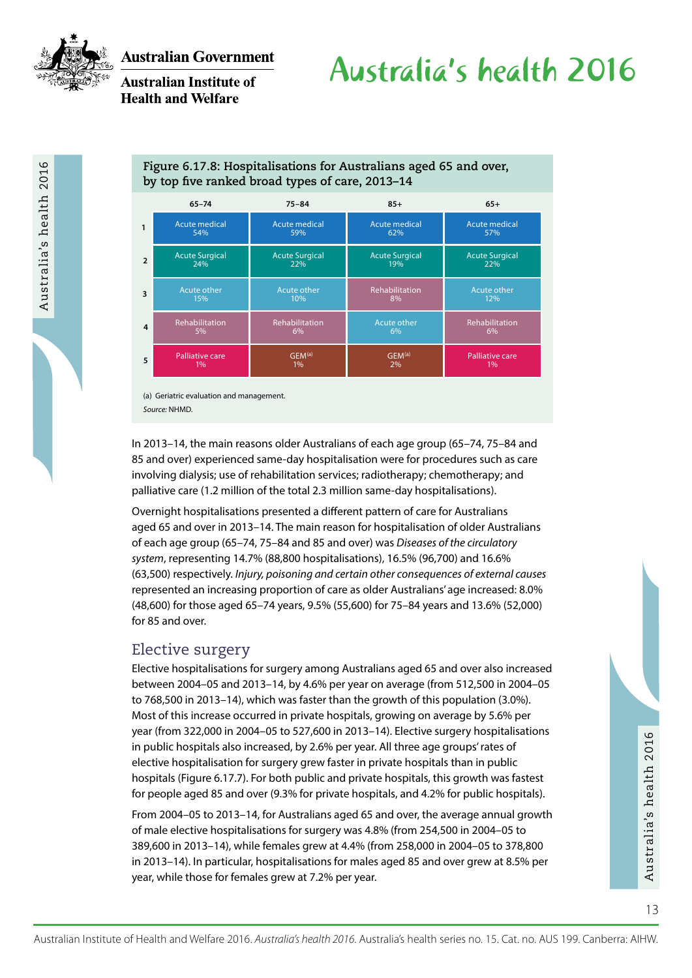

Australia's health 2016

### **Australian Institute of Health and Welfare**

# Australia's health 2016

### **Figure 6.17.8: Hospitalisations for Australians aged 65 and over, by top five ranked broad types of care, 2013–14**

|               | $65 - 74$              | $75 - 84$             | $85+$                 | $65+$                  |
|---------------|------------------------|-----------------------|-----------------------|------------------------|
|               | <b>Acute medical</b>   | <b>Acute medical</b>  | <b>Acute medical</b>  | <b>Acute medical</b>   |
|               | 54%                    | 59%                   | 62%                   | 57%                    |
| $\mathcal{P}$ | <b>Acute Surgical</b>  | <b>Acute Surgical</b> | <b>Acute Surgical</b> | <b>Acute Surgical</b>  |
|               | 24%                    | 22%                   | 19%                   | 22%                    |
| 3             | Acute other            | Acute other           | <b>Rehabilitation</b> | Acute other            |
|               | 15%                    | 10%                   | 8%                    | 12%                    |
| 4             | <b>Rehabilitation</b>  | Rehabilitation        | Acute other           | <b>Rehabilitation</b>  |
|               | 5%                     | $6\%$                 | $6\%$                 | 6%                     |
| 5             | <b>Palliative care</b> | GEM <sup>(a)</sup>    | GEM <sup>(a)</sup>    | <b>Palliative care</b> |
|               | 1%                     | 1%                    | 2%                    | 1%                     |

(a) Geriatric evaluation and management. *Source:* NHMD.

In 2013–14, the main reasons older Australians of each age group (65–74, 75–84 and 85 and over) experienced same-day hospitalisation were for procedures such as care involving dialysis; use of rehabilitation services; radiotherapy; chemotherapy; and palliative care (1.2 million of the total 2.3 million same-day hospitalisations).

Overnight hospitalisations presented a different pattern of care for Australians aged 65 and over in 2013–14. The main reason for hospitalisation of older Australians of each age group (65–74, 75–84 and 85 and over) was *Diseases of the circulatory system*, representing 14.7% (88,800 hospitalisations), 16.5% (96,700) and 16.6% (63,500) respectively. *Injury, poisoning and certain other consequences of external causes* represented an increasing proportion of care as older Australians' age increased: 8.0% (48,600) for those aged 65–74 years, 9.5% (55,600) for 75–84 years and 13.6% (52,000) for 85 and over.

### Elective surgery

Elective hospitalisations for surgery among Australians aged 65 and over also increased between 2004–05 and 2013–14, by 4.6% per year on average (from 512,500 in 2004–05 to 768,500 in 2013–14), which was faster than the growth of this population (3.0%). Most of this increase occurred in private hospitals, growing on average by 5.6% per year (from 322,000 in 2004–05 to 527,600 in 2013–14). Elective surgery hospitalisations in public hospitals also increased, by 2.6% per year. All three age groups' rates of elective hospitalisation for surgery grew faster in private hospitals than in public hospitals (Figure 6.17.7). For both public and private hospitals, this growth was fastest for people aged 85 and over (9.3% for private hospitals, and 4.2% for public hospitals).

Australian Institute of Health and Welfare 2016. *Australia's health 2016*. Australia's health series no. 15. Cat. no. AUS 199. Canberra: All the Material Institute of Health and Welfare 2016. *Australia's health 2016*. Au From 2004–05 to 2013–14, for Australians aged 65 and over, the average annual growth of male elective hospitalisations for surgery was 4.8% (from 254,500 in 2004–05 to 389,600 in 2013–14), while females grew at 4.4% (from 258,000 in 2004–05 to 378,800 in 2013–14). In particular, hospitalisations for males aged 85 and over grew at 8.5% per year, while those for females grew at 7.2% per year.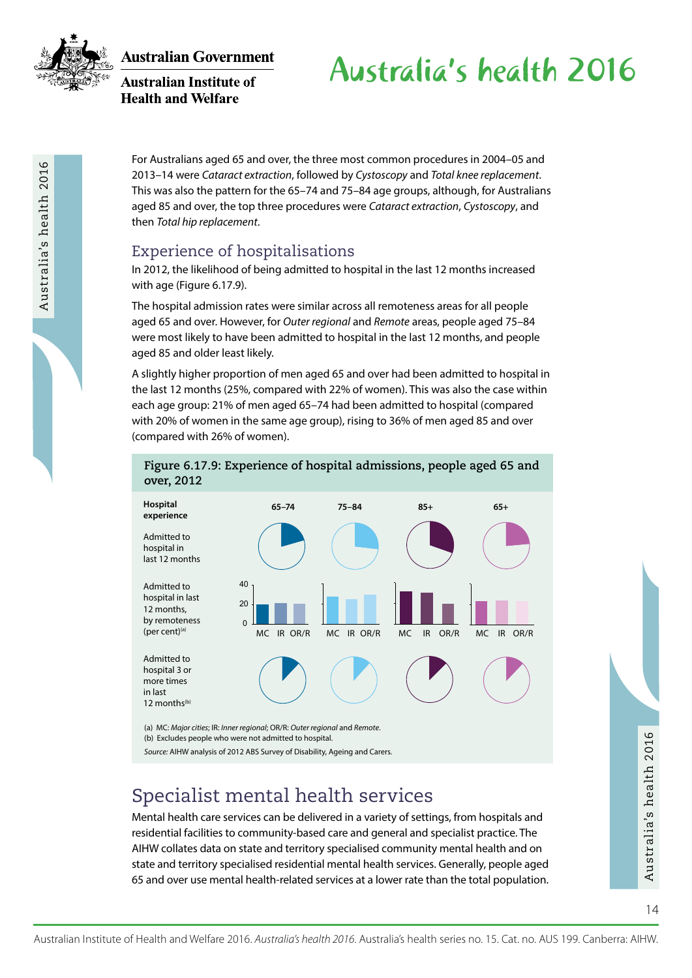

Australia's health 2016

**Australian Government** 

**Australian Institute of Health and Welfare** 

# Australia's health 2016

For Australians aged 65 and over, the three most common procedures in 2004–05 and 2013–14 were *Cataract extraction*, followed by *Cystoscopy* and *Total knee replacement*. This was also the pattern for the 65–74 and 75–84 age groups, although, for Australians aged 85 and over, the top three procedures were *Cataract extraction*, *Cystoscopy*, and then *Total hip replacement*.

### Experience of hospitalisations

In 2012, the likelihood of being admitted to hospital in the last 12 months increased with age (Figure 6.17.9).

The hospital admission rates were similar across all remoteness areas for all people aged 65 and over. However, for *Outer regional* and *Remote* areas, people aged 75–84 were most likely to have been admitted to hospital in the last 12 months, and people aged 85 and older least likely.

A slightly higher proportion of men aged 65 and over had been admitted to hospital in the last 12 months (25%, compared with 22% of women). This was also the case within each age group: 21% of men aged 65–74 had been admitted to hospital (compared with 20% of women in the same age group), rising to 36% of men aged 85 and over (compared with 26% of women).

**Figure 6.17.9: Experience of hospital admissions, people aged 65 and** 



(a) MC: *Major cities*; IR: *Inner regional*; OR/R: *Outer regional* and *Remote*. (b) Excludes people who were not admitted to hospital.

*Source:* AIHW analysis of 2012 ABS Survey of Disability, Ageing and Carers.

## Specialist mental health services

(b) Excludes people who were not admitted to hospital.<br>
Source: AIHW analysis of 2012 ABS Survey of Disability, Ageing and Carers.<br>
Specialist mental health care services can be delivered in a variety of settings, from hos Mental health care services can be delivered in a variety of settings, from hospitals and residential facilities to community-based care and general and specialist practice. The AIHW collates data on state and territory specialised community mental health and on state and territory specialised residential mental health services. Generally, people aged 65 and over use mental health-related services at a lower rate than the total population.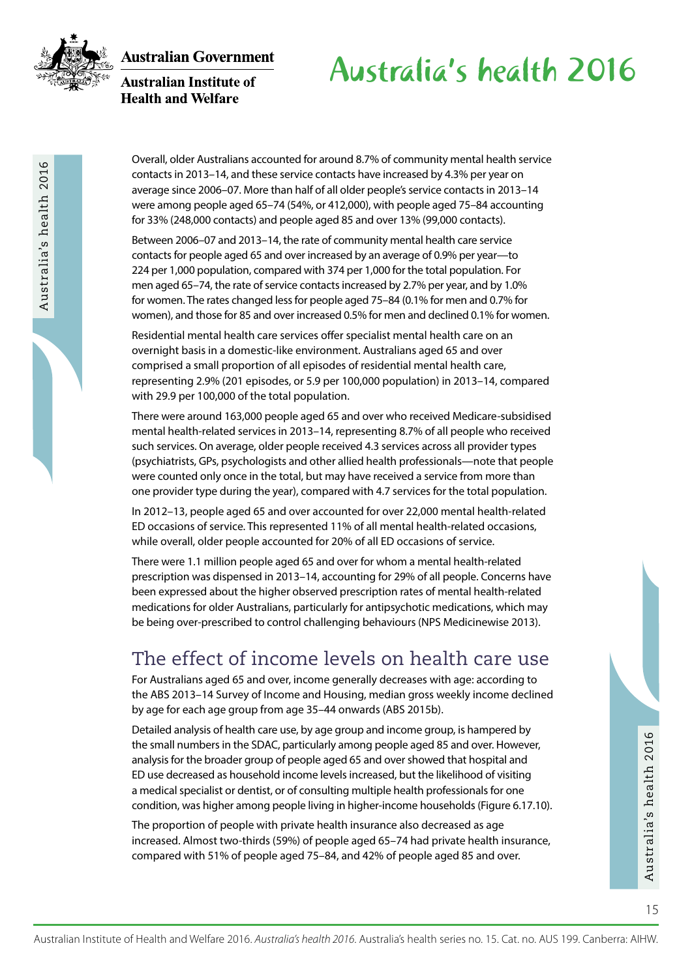

Australia's health 2016

**Australian Government** 

#### **Australian Institute of Health and Welfare**

## Australia's health 2016

Overall, older Australians accounted for around 8.7% of community mental health service contacts in 2013–14, and these service contacts have increased by 4.3% per year on average since 2006–07. More than half of all older people's service contacts in 2013–14 were among people aged 65–74 (54%, or 412,000), with people aged 75–84 accounting for 33% (248,000 contacts) and people aged 85 and over 13% (99,000 contacts).

Between 2006–07 and 2013–14, the rate of community mental health care service contacts for people aged 65 and over increased by an average of 0.9% per year—to 224 per 1,000 population, compared with 374 per 1,000 for the total population. For men aged 65–74, the rate of service contacts increased by 2.7% per year, and by 1.0% for women. The rates changed less for people aged 75–84 (0.1% for men and 0.7% for women), and those for 85 and over increased 0.5% for men and declined 0.1% for women.

Residential mental health care services offer specialist mental health care on an overnight basis in a domestic-like environment. Australians aged 65 and over comprised a small proportion of all episodes of residential mental health care, representing 2.9% (201 episodes, or 5.9 per 100,000 population) in 2013–14, compared with 29.9 per 100,000 of the total population.

There were around 163,000 people aged 65 and over who received Medicare-subsidised mental health-related services in 2013–14, representing 8.7% of all people who received such services. On average, older people received 4.3 services across all provider types (psychiatrists, GPs, psychologists and other allied health professionals—note that people were counted only once in the total, but may have received a service from more than one provider type during the year), compared with 4.7 services for the total population.

In 2012–13, people aged 65 and over accounted for over 22,000 mental health-related ED occasions of service. This represented 11% of all mental health-related occasions, while overall, older people accounted for 20% of all ED occasions of service.

There were 1.1 million people aged 65 and over for whom a mental health-related prescription was dispensed in 2013–14, accounting for 29% of all people. Concerns have been expressed about the higher observed prescription rates of mental health-related medications for older Australians, particularly for antipsychotic medications, which may be being over-prescribed to control challenging behaviours (NPS Medicinewise 2013).

## The effect of income levels on health care use

For Australians aged 65 and over, income generally decreases with age: according to the ABS 2013–14 Survey of Income and Housing, median gross weekly income declined by age for each age group from age 35–44 onwards (ABS 2015b).

The small numbers in the SDAC, particularly among people aged 85 and over. However, analysis for the broader group of people aged 65 and over showed that hospital and ED use decreased as household income levels increased, Detailed analysis of health care use, by age group and income group, is hampered by the small numbers in the SDAC, particularly among people aged 85 and over. However, analysis for the broader group of people aged 65 and over showed that hospital and ED use decreased as household income levels increased, but the likelihood of visiting a medical specialist or dentist, or of consulting multiple health professionals for one condition, was higher among people living in higher-income households (Figure 6.17.10).

The proportion of people with private health insurance also decreased as age increased. Almost two-thirds (59%) of people aged 65–74 had private health insurance, compared with 51% of people aged 75–84, and 42% of people aged 85 and over.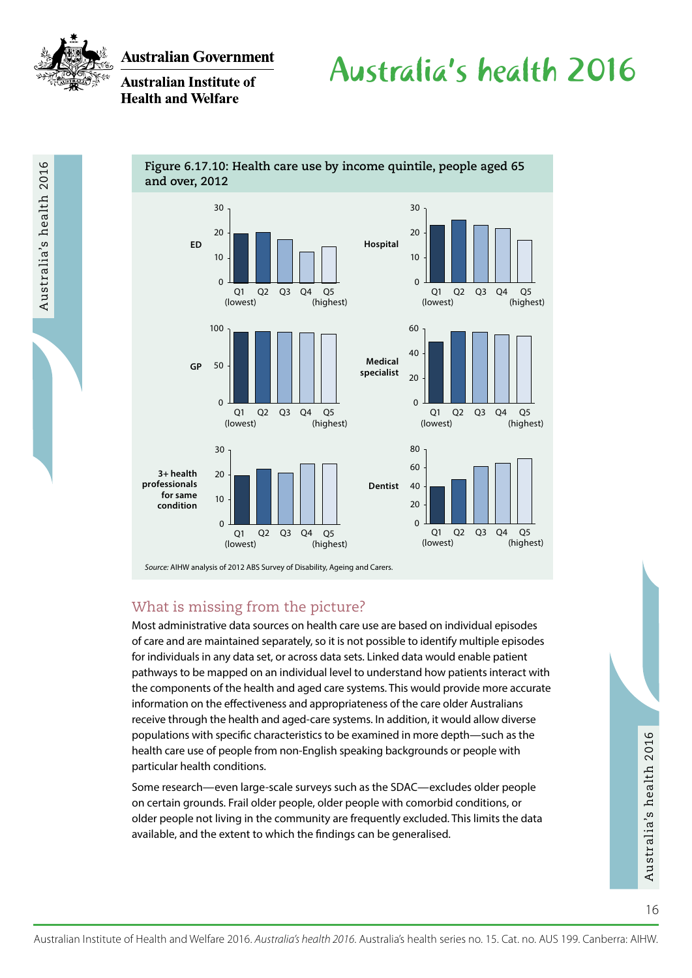

Australia's health 2016

**Australian Government** 

**Australian Institute of Health and Welfare** 

# Australia's health 2016



*Source:* AIHW analysis of 2012 ABS Survey of Disability, Ageing and Carers.

### What is missing from the picture?

Most administrative data sources on health care use are based on individual episodes of care and are maintained separately, so it is not possible to identify multiple episodes for individuals in any data set, or across data sets. Linked data would enable patient pathways to be mapped on an individual level to understand how patients interact with the components of the health and aged care systems. This would provide more accurate information on the effectiveness and appropriateness of the care older Australians receive through the health and aged-care systems. In addition, it would allow diverse populations with specific characteristics to be examined in more depth—such as the health care use of people from non-English speaking backgrounds or people with particular health conditions.

populations with specific characteristics to be examined in more depth—such as the<br>
health cause of people from non-English speaking backgrounds or people with<br>
particular health conditions.<br>
Some research—even large-scale Some research—even large-scale surveys such as the SDAC—excludes older people on certain grounds. Frail older people, older people with comorbid conditions, or older people not living in the community are frequently excluded. This limits the data available, and the extent to which the findings can be generalised.